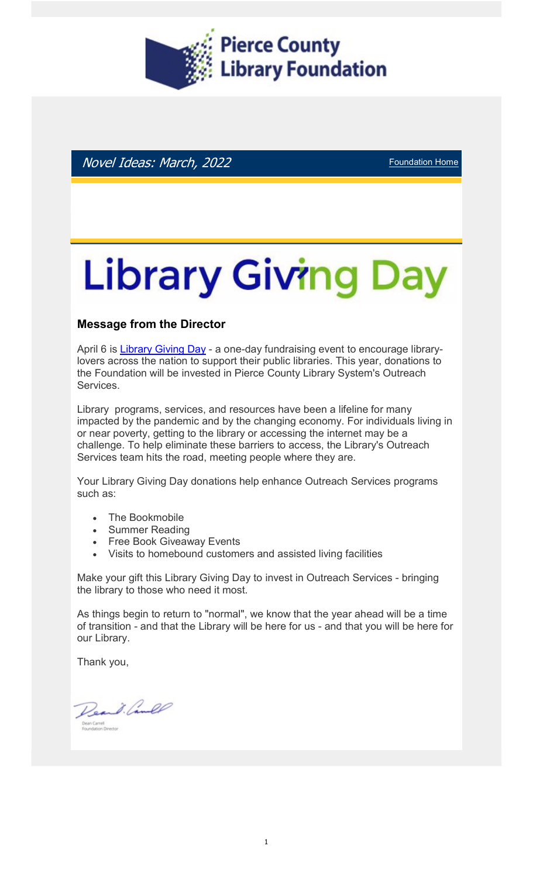

Novel Ideas: March, 2022 **Foundation Home** 

# **Library Giving Day**

#### Message from the Director

April 6 is Library Giving Day - a one-day fundraising event to encourage librarylovers across the nation to support their public libraries. This year, donations to the Foundation will be invested in Pierce County Library System's Outreach Services.

Library programs, services, and resources have been a lifeline for many impacted by the pandemic and by the changing economy. For individuals living in or near poverty, getting to the library or accessing the internet may be a challenge. To help eliminate these barriers to access, the Library's Outreach Services team hits the road, meeting people where they are.

Your Library Giving Day donations help enhance Outreach Services programs such as:

- The Bookmobile
- Summer Reading
- Free Book Giveaway Events
- Visits to homebound customers and assisted living facilities

Make your gift this Library Giving Day to invest in Outreach Services - bringing the library to those who need it most.

As things begin to return to "normal", we know that the year ahead will be a time of transition - and that the Library will be here for us - and that you will be here for our Library.

Thank you,

Deard. Camel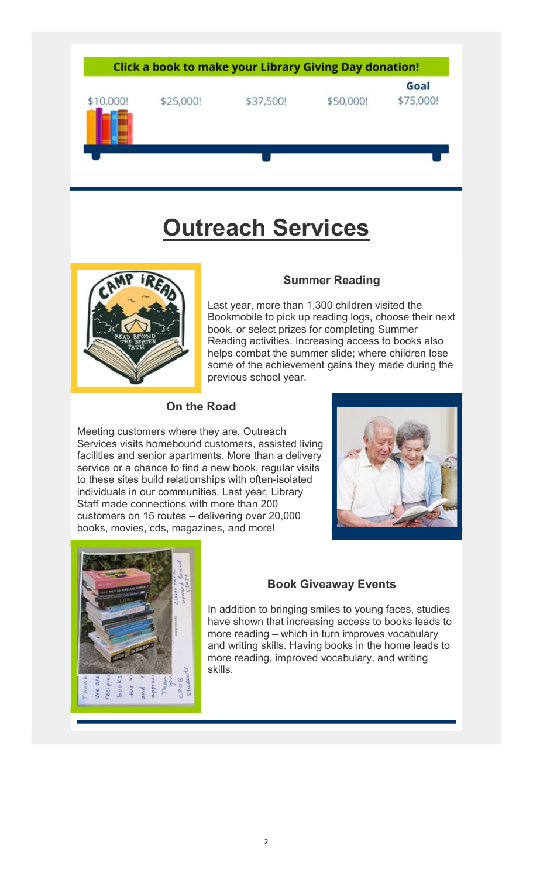

# Outreach Services



#### Summer Reading

Last year, more than 1,300 children visited the Bookmobile to pick up reading logs, choose their next book, or select prizes for completing Summer Reading activities. Increasing access to books also helps combat the summer slide; where children lose some of the achievement gains they made during the previous school year.

#### On the Road

Meeting customers where they are, Outreach Services visits homebound customers, assisted living facilities and senior apartments. More than a delivery service or a chance to find a new book, regular visits to these sites build relationships with often-isolated individuals in our communities. Last year, Library Staff made connections with more than 200 customers on 15 routes – delivering over 20,000 books, movies, cds, magazines, and more!





#### Book Giveaway Events

In addition to bringing smiles to young faces, studies have shown that increasing access to books leads to more reading – which in turn improves vocabulary and writing skills. Having books in the home leads to more reading, improved vocabulary, and writing skills.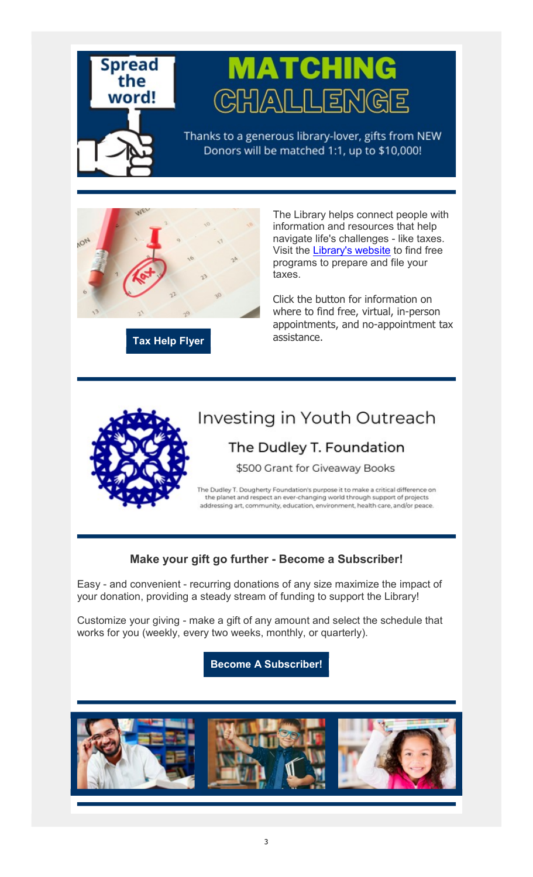

# MATCHING CHALLEN

Thanks to a generous library-lover, gifts from NEW Donors will be matched 1:1, up to \$10,000!



Tax Help Flyer

The Library helps connect people with information and resources that help navigate life's challenges - like taxes. Visit the Library's website to find free programs to prepare and file your taxes.

Click the button for information on where to find free, virtual, in-person appointments, and no-appointment tax assistance.



## Investing in Youth Outreach

## The Dudley T. Foundation

\$500 Grant for Giveaway Books

The Dudley T. Dougherty Foundation's purpose it to make a critical difference on the planet and respect an ever-changing world through support of projects addressing art, community, education, environment, health care, and/or peace.

### Make your gift go further - Become a Subscriber!

Easy - and convenient - recurring donations of any size maximize the impact of your donation, providing a steady stream of funding to support the Library!

Customize your giving - make a gift of any amount and select the schedule that works for you (weekly, every two weeks, monthly, or quarterly).

Become A Subscriber!